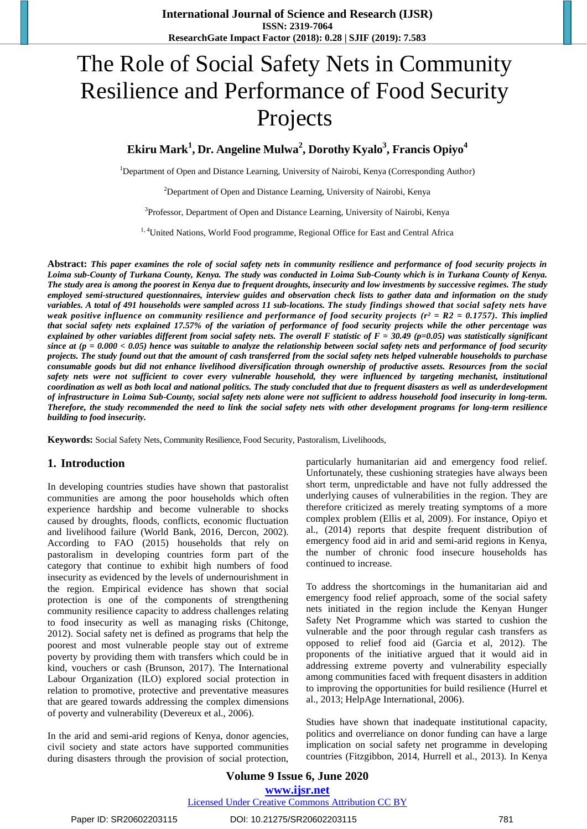# The Role of Social Safety Nets in Community Resilience and Performance of Food Security Projects

**Ekiru Mark<sup>1</sup> , Dr. Angeline Mulwa<sup>2</sup> , Dorothy Kyalo<sup>3</sup> , Francis Opiyo<sup>4</sup>**

<sup>1</sup>Department of Open and Distance Learning, University of Nairobi, Kenya (Corresponding Author)

<sup>2</sup>Department of Open and Distance Learning, University of Nairobi, Kenya

<sup>3</sup>Professor, Department of Open and Distance Learning, University of Nairobi, Kenya

<sup>1, 4</sup>United Nations, World Food programme, Regional Office for East and Central Africa

**Abstract:** *This paper examines the role of social safety nets in community resilience and performance of food security projects in Loima sub-County of Turkana County, Kenya. The study was conducted in Loima Sub-County which is in Turkana County of Kenya. The study area is among the poorest in Kenya due to frequent droughts, insecurity and low investments by successive regimes. The study employed semi-structured questionnaires, interview guides and observation check lists to gather data and information on the study variables. A total of 491 households were sampled across 11 sub-locations. The study findings showed that social safety nets have weak positive influence on community resilience and performance of food security projects (r² = R2 = 0.1757). This implied that social safety nets explained 17.57% of the variation of performance of food security projects while the other percentage was explained by other variables different from social safety nets. The overall F statistic of F = 30.49 (p=0.05) was statistically significant since at (p = 0.000 < 0.05) hence was suitable to analyze the relationship between social safety nets and performance of food security projects. The study found out that the amount of cash transferred from the social safety nets helped vulnerable households to purchase consumable goods but did not enhance livelihood diversification through ownership of productive assets. Resources from the social safety nets were not sufficient to cover every vulnerable household, they were influenced by targeting mechanist, institutional coordination as well as both local and national politics. The study concluded that due to frequent disasters as well as underdevelopment of infrastructure in Loima Sub-County, social safety nets alone were not sufficient to address household food insecurity in long-term. Therefore, the study recommended the need to link the social safety nets with other development programs for long-term resilience building to food insecurity.*

**Keywords:** Social Safety Nets, Community Resilience, Food Security, Pastoralism, Livelihoods,

## **1. Introduction**

In developing countries studies have shown that pastoralist communities are among the poor households which often experience hardship and become vulnerable to shocks caused by droughts, floods, conflicts, economic fluctuation and livelihood failure (World Bank, 2016, Dercon, 2002). According to FAO (2015) households that rely on pastoralism in developing countries form part of the category that continue to exhibit high numbers of food insecurity as evidenced by the levels of undernourishment in the region. Empirical evidence has shown that social protection is one of the components of strengthening community resilience capacity to address challenges relating to food insecurity as well as managing risks (Chitonge, 2012). Social safety net is defined as programs that help the poorest and most vulnerable people stay out of extreme poverty by providing them with transfers which could be in kind, vouchers or cash (Brunson, 2017). The International Labour Organization (ILO) explored social protection in relation to promotive, protective and preventative measures that are geared towards addressing the complex dimensions of poverty and vulnerability (Devereux et al., 2006).

In the arid and semi-arid regions of Kenya, donor agencies, civil society and state actors have supported communities during disasters through the provision of social protection, particularly humanitarian aid and emergency food relief. Unfortunately, these cushioning strategies have always been short term, unpredictable and have not fully addressed the underlying causes of vulnerabilities in the region. They are therefore criticized as merely treating symptoms of a more complex problem (Ellis et al, 2009). For instance, Opiyo et al., (2014) reports that despite frequent distribution of emergency food aid in arid and semi-arid regions in Kenya, the number of chronic food insecure households has continued to increase.

To address the shortcomings in the humanitarian aid and emergency food relief approach, some of the social safety nets initiated in the region include the Kenyan Hunger Safety Net Programme which was started to cushion the vulnerable and the poor through regular cash transfers as opposed to relief food aid (Garcia et al, 2012). The proponents of the initiative argued that it would aid in addressing extreme poverty and vulnerability especially among communities faced with frequent disasters in addition to improving the opportunities for build resilience (Hurrel et al., 2013; HelpAge International, 2006).

Studies have shown that inadequate institutional capacity, politics and overreliance on donor funding can have a large implication on social safety net programme in developing countries (Fitzgibbon, 2014, Hurrell et al., 2013). In Kenya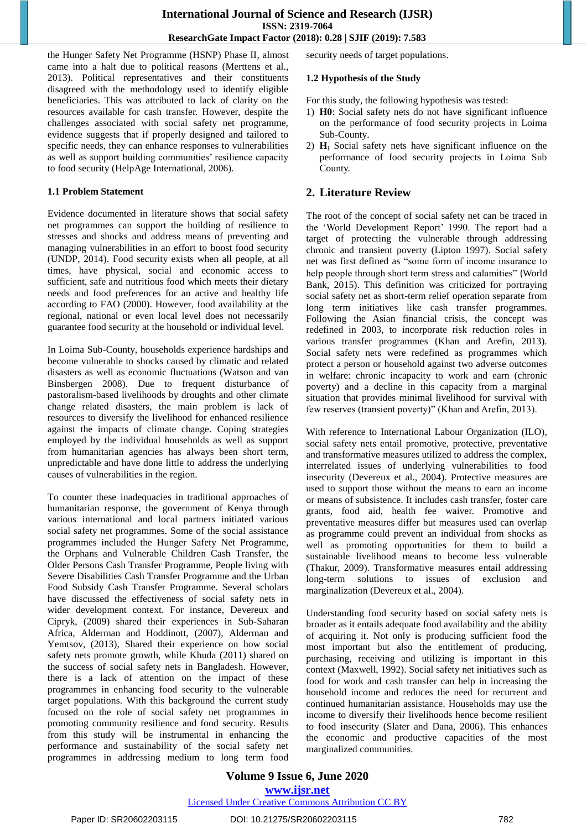the Hunger Safety Net Programme (HSNP) Phase II, almost came into a halt due to political reasons (Merttens et al., 2013). Political representatives and their constituents disagreed with the methodology used to identify eligible beneficiaries. This was attributed to lack of clarity on the resources available for cash transfer. However, despite the challenges associated with social safety net programme, evidence suggests that if properly designed and tailored to specific needs, they can enhance responses to vulnerabilities as well as support building communities' resilience capacity to food security (HelpAge International, 2006).

#### **1.1 Problem Statement**

Evidence documented in literature shows that social safety net programmes can support the building of resilience to stresses and shocks and address means of preventing and managing vulnerabilities in an effort to boost food security (UNDP, 2014). Food security exists when all people, at all times, have physical, social and economic access to sufficient, safe and nutritious food which meets their dietary needs and food preferences for an active and healthy life according to FAO (2000). However, food availability at the regional, national or even local level does not necessarily guarantee food security at the household or individual level.

In Loima Sub-County, households experience hardships and become vulnerable to shocks caused by climatic and related disasters as well as economic fluctuations (Watson and van Binsbergen 2008). Due to frequent disturbance of pastoralism-based livelihoods by droughts and other climate change related disasters, the main problem is lack of resources to diversify the livelihood for enhanced resilience against the impacts of climate change. Coping strategies employed by the individual households as well as support from humanitarian agencies has always been short term, unpredictable and have done little to address the underlying causes of vulnerabilities in the region.

To counter these inadequacies in traditional approaches of humanitarian response, the government of Kenya through various international and local partners initiated various social safety net programmes. Some of the social assistance programmes included the Hunger Safety Net Programme, the Orphans and Vulnerable Children Cash Transfer, the Older Persons Cash Transfer Programme, People living with Severe Disabilities Cash Transfer Programme and the Urban Food Subsidy Cash Transfer Programme. Several scholars have discussed the effectiveness of social safety nets in wider development context. For instance, Devereux and Cipryk, (2009) shared their experiences in Sub-Saharan Africa, Alderman and Hoddinott, (2007), Alderman and Yemtsov, (2013), Shared their experience on how social safety nets promote growth, while Khuda (2011) shared on the success of social safety nets in Bangladesh. However, there is a lack of attention on the impact of these programmes in enhancing food security to the vulnerable target populations. With this background the current study focused on the role of social safety net programmes in promoting community resilience and food security. Results from this study will be instrumental in enhancing the performance and sustainability of the social safety net programmes in addressing medium to long term food security needs of target populations.

#### **1.2 Hypothesis of the Study**

For this study, the following hypothesis was tested:

- 1) **H0**: Social safety nets do not have significant influence on the performance of food security projects in Loima Sub-County.
- 2) **H1** Social safety nets have significant influence on the performance of food security projects in Loima Sub County.

## **2. Literature Review**

The root of the concept of social safety net can be traced in the 'World Development Report' 1990. The report had a target of protecting the vulnerable through addressing chronic and transient poverty (Lipton 1997). Social safety net was first defined as "some form of income insurance to help people through short term stress and calamities" (World Bank, 2015). This definition was criticized for portraying social safety net as short-term relief operation separate from long term initiatives like cash transfer programmes. Following the Asian financial crisis, the concept was redefined in 2003, to incorporate risk reduction roles in various transfer programmes (Khan and Arefin, 2013). Social safety nets were redefined as programmes which protect a person or household against two adverse outcomes in welfare: chronic incapacity to work and earn (chronic poverty) and a decline in this capacity from a marginal situation that provides minimal livelihood for survival with few reserves (transient poverty)" (Khan and Arefin, 2013).

With reference to International Labour Organization (ILO), social safety nets entail promotive, protective, preventative and transformative measures utilized to address the complex, interrelated issues of underlying vulnerabilities to food insecurity (Devereux et al., 2004). Protective measures are used to support those without the means to earn an income or means of subsistence. It includes cash transfer, foster care grants, food aid, health fee waiver. Promotive and preventative measures differ but measures used can overlap as programme could prevent an individual from shocks as well as promoting opportunities for them to build a sustainable livelihood means to become less vulnerable (Thakur, 2009). Transformative measures entail addressing long-term solutions to issues of exclusion and marginalization (Devereux et al., 2004).

Understanding food security based on social safety nets is broader as it entails adequate food availability and the ability of acquiring it. Not only is producing sufficient food the most important but also the entitlement of producing, purchasing, receiving and utilizing is important in this context (Maxwell, 1992). Social safety net initiatives such as food for work and cash transfer can help in increasing the household income and reduces the need for recurrent and continued humanitarian assistance. Households may use the income to diversify their livelihoods hence become resilient to food insecurity (Slater and Dana, 2006). This enhances the economic and productive capacities of the most marginalized communities.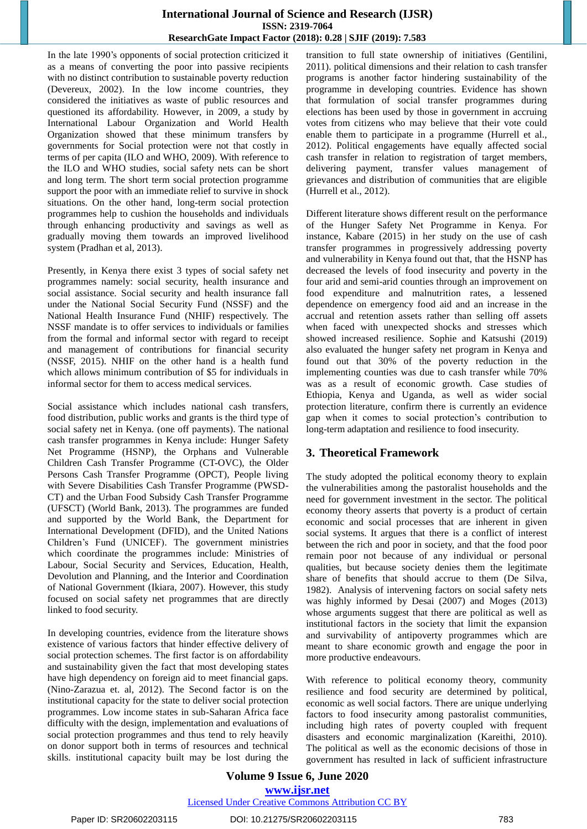In the late 1990"s opponents of social protection criticized it as a means of converting the poor into passive recipients with no distinct contribution to sustainable poverty reduction (Devereux, 2002). In the low income countries, they considered the initiatives as waste of public resources and questioned its affordability. However, in 2009, a study by International Labour Organization and World Health Organization showed that these minimum transfers by governments for Social protection were not that costly in terms of per capita (ILO and WHO, 2009). With reference to the ILO and WHO studies, social safety nets can be short and long term. The short term social protection programme support the poor with an immediate relief to survive in shock situations. On the other hand, long-term social protection programmes help to cushion the households and individuals through enhancing productivity and savings as well as gradually moving them towards an improved livelihood system (Pradhan et al, 2013).

Presently, in Kenya there exist 3 types of social safety net programmes namely: social security, health insurance and social assistance. Social security and health insurance fall under the National Social Security Fund (NSSF) and the National Health Insurance Fund (NHIF) respectively. The NSSF mandate is to offer services to individuals or families from the formal and informal sector with regard to receipt and management of contributions for financial security (NSSF, 2015). NHIF on the other hand is a health fund which allows minimum contribution of \$5 for individuals in informal sector for them to access medical services.

Social assistance which includes national cash transfers, food distribution, public works and grants is the third type of social safety net in Kenya. (one off payments). The national cash transfer programmes in Kenya include: Hunger Safety Net Programme (HSNP), the Orphans and Vulnerable Children Cash Transfer Programme (CT-OVC), the Older Persons Cash Transfer Programme (OPCT), People living with Severe Disabilities Cash Transfer Programme (PWSD-CT) and the Urban Food Subsidy Cash Transfer Programme (UFSCT) (World Bank, 2013). The programmes are funded and supported by the World Bank, the Department for International Development (DFID), and the United Nations Children"s Fund (UNICEF). The government ministries which coordinate the programmes include: Ministries of Labour, Social Security and Services, Education, Health, Devolution and Planning, and the Interior and Coordination of National Government (Ikiara, 2007). However, this study focused on social safety net programmes that are directly linked to food security.

In developing countries, evidence from the literature shows existence of various factors that hinder effective delivery of social protection schemes. The first factor is on affordability and sustainability given the fact that most developing states have high dependency on foreign aid to meet financial gaps. (Nino-Zarazua et. al, 2012). The Second factor is on the institutional capacity for the state to deliver social protection programmes. Low income states in sub-Saharan Africa face difficulty with the design, implementation and evaluations of social protection programmes and thus tend to rely heavily on donor support both in terms of resources and technical skills. institutional capacity built may be lost during the transition to full state ownership of initiatives (Gentilini, 2011). political dimensions and their relation to cash transfer programs is another factor hindering sustainability of the programme in developing countries. Evidence has shown that formulation of social transfer programmes during elections has been used by those in government in accruing votes from citizens who may believe that their vote could enable them to participate in a programme (Hurrell et al., 2012). Political engagements have equally affected social cash transfer in relation to registration of target members, delivering payment, transfer values management of grievances and distribution of communities that are eligible (Hurrell et al., 2012).

Different literature shows different result on the performance of the Hunger Safety Net Programme in Kenya. For instance, Kabare (2015) in her study on the use of cash transfer programmes in progressively addressing poverty and vulnerability in Kenya found out that, that the HSNP has decreased the levels of food insecurity and poverty in the four arid and semi-arid counties through an improvement on food expenditure and malnutrition rates, a lessened dependence on emergency food aid and an increase in the accrual and retention assets rather than selling off assets when faced with unexpected shocks and stresses which showed increased resilience. Sophie and Katsushi (2019) also evaluated the hunger safety net program in Kenya and found out that 30% of the poverty reduction in the implementing counties was due to cash transfer while 70% was as a result of economic growth. Case studies of Ethiopia, Kenya and Uganda, as well as wider social protection literature, confirm there is currently an evidence gap when it comes to social protection"s contribution to long-term adaptation and resilience to food insecurity.

## **3. Theoretical Framework**

The study adopted the political economy theory to explain the vulnerabilities among the pastoralist households and the need for government investment in the sector. The political economy theory asserts that poverty is a product of certain economic and social processes that are inherent in given social systems. It argues that there is a conflict of interest between the rich and poor in society, and that the food poor remain poor not because of any individual or personal qualities, but because society denies them the legitimate share of benefits that should accrue to them (De Silva, 1982). Analysis of intervening factors on social safety nets was highly informed by Desai (2007) and Moges (2013) whose arguments suggest that there are political as well as institutional factors in the society that limit the expansion and survivability of antipoverty programmes which are meant to share economic growth and engage the poor in more productive endeavours.

With reference to political economy theory, community resilience and food security are determined by political, economic as well social factors. There are unique underlying factors to food insecurity among pastoralist communities, including high rates of poverty coupled with frequent disasters and economic marginalization (Kareithi, 2010). The political as well as the economic decisions of those in government has resulted in lack of sufficient infrastructure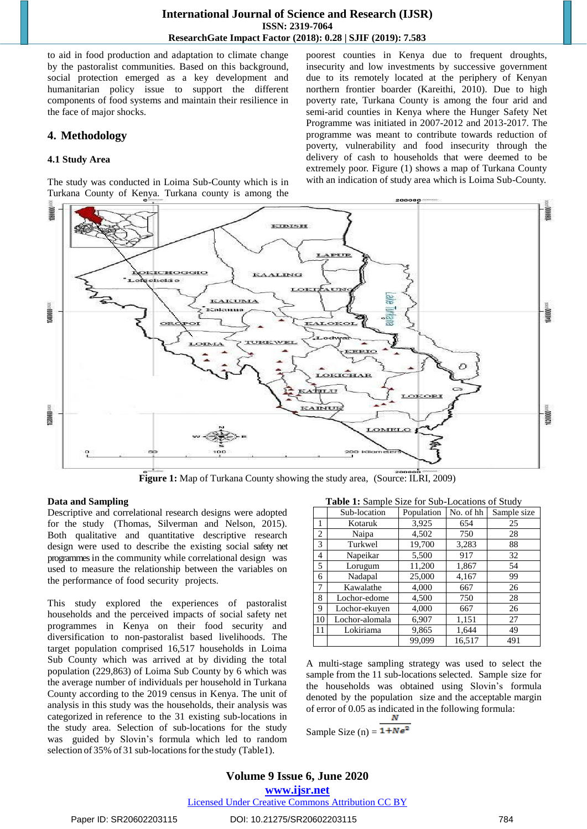to aid in food production and adaptation to climate change by the pastoralist communities. Based on this background, social protection emerged as a key development and humanitarian policy issue to support the different components of food systems and maintain their resilience in the face of major shocks.

## **4. Methodology**

#### **4.1 Study Area**

The study was conducted in Loima Sub-County which is in Turkana County of Kenya. Turkana county is among the

poorest counties in Kenya due to frequent droughts, insecurity and low investments by successive government due to its remotely located at the periphery of Kenyan northern frontier boarder (Kareithi, 2010). Due to high poverty rate, Turkana County is among the four arid and semi-arid counties in Kenya where the Hunger Safety Net Programme was initiated in 2007-2012 and 2013-2017. The programme was meant to contribute towards reduction of poverty, vulnerability and food insecurity through the delivery of cash to households that were deemed to be extremely poor. Figure (1) shows a map of Turkana County with an indication of study area which is Loima Sub-County.



**Figure 1:** Map of Turkana County showing the study area, (Source: ILRI, 2009)

#### **Data and Sampling**

Descriptive and correlational research designs were adopted for the study (Thomas, Silverman and Nelson, 2015). Both qualitative and quantitative descriptive research design were used to describe the existing social safety net programmesin the community while correlational design was used to measure the relationship between the variables on the performance of food security projects.

This study explored the experiences of pastoralist households and the perceived impacts of social safety net programmes in Kenya on their food security and diversification to non-pastoralist based livelihoods. The target population comprised 16,517 households in Loima Sub County which was arrived at by dividing the total population (229,863) of Loima Sub County by 6 which was the average number of individuals per household in Turkana County according to the 2019 census in Kenya. The unit of analysis in this study was the households, their analysis was categorized in reference to the 31 existing sub-locations in the study area. Selection of sub-locations for the study was guided by Slovin"s formula which led to random selection of 35% of 31 sub-locations for the study (Table1).

**Table 1:** Sample Size for Sub-Locations of Study

|                | Sub-location   | Population | No. of hh | Sample size |
|----------------|----------------|------------|-----------|-------------|
|                | Kotaruk        | 3,925      | 654       | 25          |
| $\overline{2}$ | Naipa          | 4,502      | 750       | 28          |
| 3              | Turkwel        | 19,700     | 3,283     | 88          |
| 4              | Napeikar       | 5,500      | 917       | 32          |
| 5              | Lorugum        | 11,200     | 1,867     | 54          |
| 6              | Nadapal        | 25,000     | 4,167     | 99          |
| 7              | Kawalathe      | 4,000      | 667       | 26          |
| 8              | Lochor-edome   | 4,500      | 750       | 28          |
| 9              | Lochor-ekuyen  | 4,000      | 667       | 26          |
| 10             | Lochor-alomala | 6,907      | 1,151     | 27          |
| 11             | Lokiriama      | 9,865      | 1,644     | 49          |
|                |                | 99.099     | 16,517    | 491         |

A multi-stage sampling strategy was used to select the sample from the 11 sub-locations selected. Sample size for the households was obtained using Slovin"s formula denoted by the population size and the acceptable margin of error of 0.05 as indicated in the following formula:

Sample Size (n) =  $1 + Ne^2$ 

**Volume 9 Issue 6, June 2020 www.ijsr.net** Licensed Under Creative Commons Attribution CC BY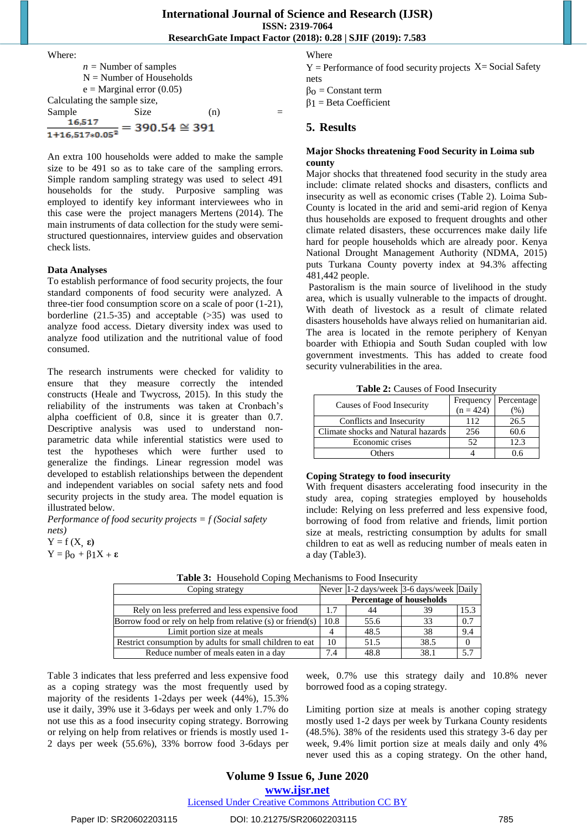# Where: *n =* Number of samples N = Number of Households  $e =$ Marginal error (0.05) Calculating the sample size, Sample Size (n) =<br> $\frac{16,517}{1+16,517*0.05^2} = 390.54 \approx 391$

An extra 100 households were added to make the sample size to be 491 so as to take care of the sampling errors. Simple random sampling strategy was used to select 491 households for the study. Purposive sampling was employed to identify key informant interviewees who in this case were the project managers Mertens (2014). The main instruments of data collection for the study were semistructured questionnaires, interview guides and observation check lists.

#### **Data Analyses**

To establish performance of food security projects, the four standard components of food security were analyzed. A three-tier food consumption score on a scale of poor (1-21), borderline  $(21.5-35)$  and acceptable  $(>35)$  was used to analyze food access. Dietary diversity index was used to analyze food utilization and the nutritional value of food consumed.

The research instruments were checked for validity to ensure that they measure correctly the intended constructs (Heale and Twycross, 2015). In this study the reliability of the instruments was taken at Cronbach"s alpha coefficient of 0.8, since it is greater than 0.7. Descriptive analysis was used to understand nonparametric data while inferential statistics were used to test the hypotheses which were further used to generalize the findings. Linear regression model was developed to establish relationships between the dependent and independent variables on social safety nets and food security projects in the study area. The model equation is illustrated below.

*Performance of food security projects = f (Social safety nets)*

 $Y = f(X, \varepsilon)$ Y = βo + β1X + **ε** Where

 $Y =$  Performance of food security projects  $X =$  Social Safety nets

 $β<sub>0</sub> = Constant term$ 

β1 = Beta Coefficient

## **5. Results**

#### **Major Shocks threatening Food Security in Loima sub county**

Major shocks that threatened food security in the study area include: climate related shocks and disasters, conflicts and insecurity as well as economic crises (Table 2). Loima Sub-County is located in the arid and semi-arid region of Kenya thus households are exposed to frequent droughts and other climate related disasters, these occurrences make daily life hard for people households which are already poor. Kenya National Drought Management Authority (NDMA, 2015) puts Turkana County poverty index at 94.3% affecting 481,442 people.

Pastoralism is the main source of livelihood in the study area, which is usually vulnerable to the impacts of drought. With death of livestock as a result of climate related disasters households have always relied on humanitarian aid. The area is located in the remote periphery of Kenyan boarder with Ethiopia and South Sudan coupled with low government investments. This has added to create food security vulnerabilities in the area.

**Table 2:** Causes of Food Insecurity

| Causes of Food Insecurity          |             | Frequency   Percentage |
|------------------------------------|-------------|------------------------|
|                                    | $(n = 424)$ | $\%$ )                 |
| Conflicts and Insecurity           | 112         | 26.5                   |
| Climate shocks and Natural hazards | 256         | 60.6                   |
| Economic crises                    | 52          | 12.3                   |
| Others                             |             |                        |

#### **Coping Strategy to food insecurity**

With frequent disasters accelerating food insecurity in the study area, coping strategies employed by households include: Relying on less preferred and less expensive food, borrowing of food from relative and friends, limit portion size at meals, restricting consumption by adults for small children to eat as well as reducing number of meals eaten in a day (Table3).

| Coping strategy                                                 |      | Never 1-2 days/week 3-6 days/week Daily |      |      |
|-----------------------------------------------------------------|------|-----------------------------------------|------|------|
|                                                                 |      | <b>Percentage of households</b>         |      |      |
| Rely on less preferred and less expensive food                  | 1.7  | 44                                      | 39   | .5.3 |
| Borrow food or rely on help from relative $(s)$ or friend $(s)$ | 10.8 | 55.6                                    | 33   | 0.7  |
| Limit portion size at meals                                     |      | 48.5                                    | 38   | 9.4  |
| Restrict consumption by adults for small children to eat        | 10   | 51.5                                    | 38.5 |      |
| Reduce number of meals eaten in a day                           | 7.4  | 48.8                                    | 38.1 | 5.7  |

**Table 3:** Household Coping Mechanisms to Food Insecurity

Table 3 indicates that less preferred and less expensive food as a coping strategy was the most frequently used by majority of the residents 1-2days per week (44%), 15.3% use it daily, 39% use it 3-6days per week and only 1.7% do not use this as a food insecurity coping strategy. Borrowing or relying on help from relatives or friends is mostly used 1- 2 days per week (55.6%), 33% borrow food 3-6days per

week, 0.7% use this strategy daily and 10.8% never borrowed food as a coping strategy.

Limiting portion size at meals is another coping strategy mostly used 1-2 days per week by Turkana County residents (48.5%). 38% of the residents used this strategy 3-6 day per week, 9.4% limit portion size at meals daily and only 4% never used this as a coping strategy. On the other hand,

# **Volume 9 Issue 6, June 2020**

**www.ijsr.net**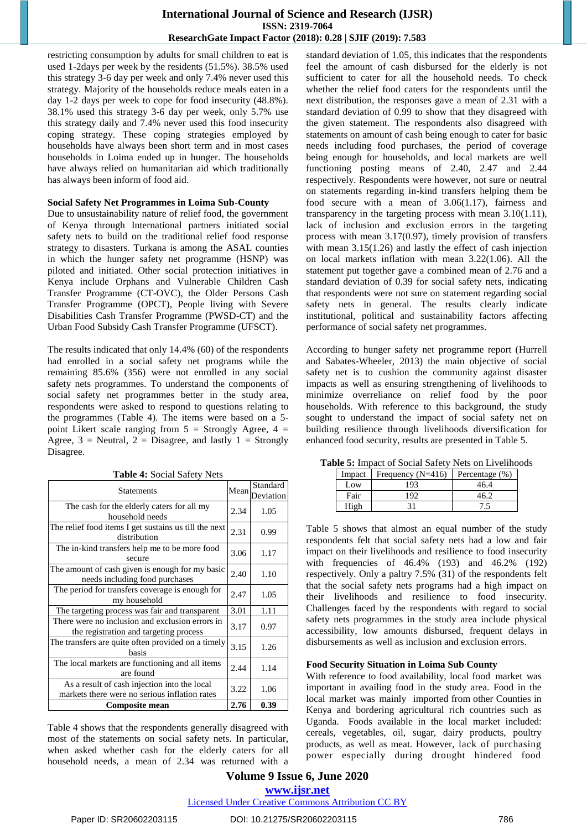restricting consumption by adults for small children to eat is used 1-2days per week by the residents (51.5%). 38.5% used this strategy 3-6 day per week and only 7.4% never used this strategy. Majority of the households reduce meals eaten in a day 1-2 days per week to cope for food insecurity (48.8%). 38.1% used this strategy 3-6 day per week, only 5.7% use this strategy daily and 7.4% never used this food insecurity coping strategy. These coping strategies employed by households have always been short term and in most cases households in Loima ended up in hunger. The households have always relied on humanitarian aid which traditionally has always been inform of food aid.

#### **Social Safety Net Programmes in Loima Sub-County**

Due to unsustainability nature of relief food, the government of Kenya through International partners initiated social safety nets to build on the traditional relief food response strategy to disasters. Turkana is among the ASAL counties in which the hunger safety net programme (HSNP) was piloted and initiated. Other social protection initiatives in Kenya include Orphans and Vulnerable Children Cash Transfer Programme (CT-OVC), the Older Persons Cash Transfer Programme (OPCT), People living with Severe Disabilities Cash Transfer Programme (PWSD-CT) and the Urban Food Subsidy Cash Transfer Programme (UFSCT).

The results indicated that only 14.4% (60) of the respondents had enrolled in a social safety net programs while the remaining 85.6% (356) were not enrolled in any social safety nets programmes. To understand the components of social safety net programmes better in the study area, respondents were asked to respond to questions relating to the programmes (Table 4). The items were based on a 5 point Likert scale ranging from  $5 =$  Strongly Agree,  $4 =$ Agree,  $3$  = Neutral,  $2$  = Disagree, and lastly  $1$  = Strongly Disagree.

| <b>Statements</b>                                                                             | Mean | Standard<br>Deviation |
|-----------------------------------------------------------------------------------------------|------|-----------------------|
| The cash for the elderly caters for all my<br>household needs                                 | 2.34 | 1.05                  |
| The relief food items I get sustains us till the next<br>distribution                         | 2.31 | 0.99                  |
| The in-kind transfers help me to be more food<br>secure                                       | 3.06 | 1.17                  |
| The amount of cash given is enough for my basic<br>needs including food purchases             | 2.40 | 1.10                  |
| The period for transfers coverage is enough for<br>my household                               | 2.47 | 1.05                  |
| The targeting process was fair and transparent                                                | 3.01 | 1.11                  |
| There were no inclusion and exclusion errors in<br>the registration and targeting process     | 3.17 | 0.97                  |
| The transfers are quite often provided on a timely<br>basis                                   | 3.15 | 1.26                  |
| The local markets are functioning and all items<br>are found                                  | 2.44 | 1.14                  |
| As a result of cash injection into the local<br>markets there were no serious inflation rates | 3.22 | 1.06                  |
| Composite mean                                                                                | 2.76 | 0.39                  |

**Table 4:** Social Safety Nets

Table 4 shows that the respondents generally disagreed with most of the statements on social safety nets. In particular, when asked whether cash for the elderly caters for all household needs, a mean of 2.34 was returned with a standard deviation of 1.05, this indicates that the respondents feel the amount of cash disbursed for the elderly is not sufficient to cater for all the household needs. To check whether the relief food caters for the respondents until the next distribution, the responses gave a mean of 2.31 with a standard deviation of 0.99 to show that they disagreed with the given statement. The respondents also disagreed with statements on amount of cash being enough to cater for basic needs including food purchases, the period of coverage being enough for households, and local markets are well functioning posting means of 2.40, 2.47 and 2.44 respectively. Respondents were however, not sure or neutral on statements regarding in-kind transfers helping them be food secure with a mean of 3.06(1.17), fairness and transparency in the targeting process with mean 3.10(1.11), lack of inclusion and exclusion errors in the targeting process with mean 3.17(0.97), timely provision of transfers with mean  $3.15(1.26)$  and lastly the effect of cash injection on local markets inflation with mean 3.22(1.06). All the statement put together gave a combined mean of 2.76 and a standard deviation of 0.39 for social safety nets, indicating that respondents were not sure on statement regarding social safety nets in general. The results clearly indicate institutional, political and sustainability factors affecting performance of social safety net programmes.

According to hunger safety net programme report (Hurrell and Sabates-Wheeler, 2013) the main objective of social safety net is to cushion the community against disaster impacts as well as ensuring strengthening of livelihoods to minimize overreliance on relief food by the poor households. With reference to this background, the study sought to understand the impact of social safety net on building resilience through livelihoods diversification for enhanced food security, results are presented in Table 5.

| $\overline{\text{DE}}$ . Hilpact of Social Safety Types on Efvernor |                     |                   |  |  |
|---------------------------------------------------------------------|---------------------|-------------------|--|--|
| Impact                                                              | Frequency $(N=416)$ | Percentage $(\%)$ |  |  |
| Low                                                                 | 193                 | 46.4              |  |  |
| Fair                                                                | 192                 | 46 P              |  |  |
| High                                                                | 31                  | $^{\prime}$ .5    |  |  |

**Table 5:** Impact of Social Safety Nets on Livelihoods

Table 5 shows that almost an equal number of the study respondents felt that social safety nets had a low and fair impact on their livelihoods and resilience to food insecurity with frequencies of 46.4% (193) and 46.2% (192) respectively. Only a paltry 7.5% (31) of the respondents felt that the social safety nets programs had a high impact on their livelihoods and resilience to food insecurity. Challenges faced by the respondents with regard to social safety nets programmes in the study area include physical accessibility, low amounts disbursed, frequent delays in disbursements as well as inclusion and exclusion errors.

#### **Food Security Situation in Loima Sub County**

With reference to food availability, local food market was important in availing food in the study area. Food in the local market was mainly imported from other Counties in Kenya and bordering agricultural rich countries such as Uganda. Foods available in the local market included: cereals, vegetables, oil, sugar, dairy products, poultry products, as well as meat. However, lack of purchasing power especially during drought hindered food

## **Volume 9 Issue 6, June 2020 www.ijsr.net**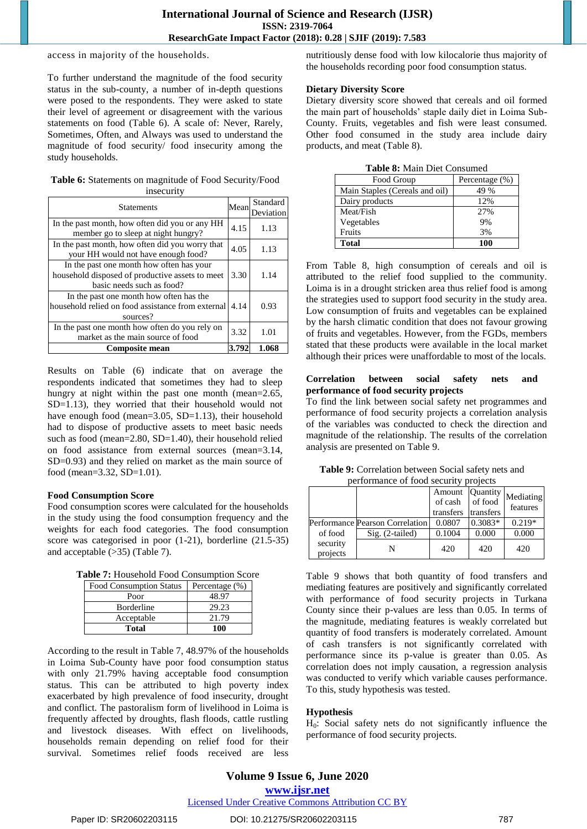access in majority of the households.

To further understand the magnitude of the food security status in the sub-county, a number of in-depth questions were posed to the respondents. They were asked to state their level of agreement or disagreement with the various statements on food (Table 6). A scale of: Never, Rarely, Sometimes, Often, and Always was used to understand the magnitude of food security/ food insecurity among the study households.

**Table 6:** Statements on magnitude of Food Security/Food insecurity

| <b>Statements</b>                                                                                                        | Mean  | Standard<br>Deviation |
|--------------------------------------------------------------------------------------------------------------------------|-------|-----------------------|
| In the past month, how often did you or any HH<br>member go to sleep at night hungry?                                    | 4.15  | 1.13                  |
| In the past month, how often did you worry that<br>your HH would not have enough food?                                   | 4.05  | 1.13                  |
| In the past one month how often has your<br>household disposed of productive assets to meet<br>basic needs such as food? | 3.30  | 1.14                  |
| In the past one month how often has the<br>household relied on food assistance from external<br>sources?                 | 4.14  | 0.93                  |
| In the past one month how often do you rely on<br>market as the main source of food                                      | 3.32  | 1.01                  |
| <b>Composite mean</b>                                                                                                    | 3.792 | 1.068                 |

Results on Table (6) indicate that on average the respondents indicated that sometimes they had to sleep hungry at night within the past one month (mean=2.65, SD=1.13), they worried that their household would not have enough food (mean=3.05, SD=1.13), their household had to dispose of productive assets to meet basic needs such as food (mean=2.80, SD=1.40), their household relied on food assistance from external sources (mean=3.14, SD=0.93) and they relied on market as the main source of food (mean=3.32, SD=1.01).

#### **Food Consumption Score**

Food consumption scores were calculated for the households in the study using the food consumption frequency and the weights for each food categories. The food consumption score was categorised in poor (1-21), borderline (21.5-35) and acceptable (>35) (Table 7).

**Table 7:** Household Food Consumption Score

| <b>Food Consumption Status</b> | Percentage (%) |
|--------------------------------|----------------|
| Poor                           | 48.97          |
| Borderline                     | 29.23          |
| Acceptable                     | 21.79          |
| Total                          |                |

According to the result in Table 7, 48.97% of the households in Loima Sub-County have poor food consumption status with only 21.79% having acceptable food consumption status. This can be attributed to high poverty index exacerbated by high prevalence of food insecurity, drought and conflict. The pastoralism form of livelihood in Loima is frequently affected by droughts, flash floods, cattle rustling and livestock diseases. With effect on livelihoods, households remain depending on relief food for their survival. Sometimes relief foods received are less

nutritiously dense food with low kilocalorie thus majority of the households recording poor food consumption status.

#### **Dietary Diversity Score**

Dietary diversity score showed that cereals and oil formed the main part of households" staple daily diet in Loima Sub-County. Fruits, vegetables and fish were least consumed. Other food consumed in the study area include dairy products, and meat (Table 8).

|  |  |  |  | <b>Table 8:</b> Main Diet Consumed |
|--|--|--|--|------------------------------------|
|--|--|--|--|------------------------------------|

| Food Group                     | Percentage (%) |
|--------------------------------|----------------|
| Main Staples (Cereals and oil) | 49 %           |
| Dairy products                 | 12%            |
| Meat/Fish                      | 27%            |
| Vegetables                     | 9%             |
| Fruits                         | 3%             |
| Total                          | 100            |

From Table 8, high consumption of cereals and oil is attributed to the relief food supplied to the community. Loima is in a drought stricken area thus relief food is among the strategies used to support food security in the study area. Low consumption of fruits and vegetables can be explained by the harsh climatic condition that does not favour growing of fruits and vegetables. However, from the FGDs, members stated that these products were available in the local market although their prices were unaffordable to most of the locals.

#### **Correlation between social safety nets and performance of food security projects**

To find the link between social safety net programmes and performance of food security projects a correlation analysis of the variables was conducted to check the direction and magnitude of the relationship. The results of the correlation analysis are presented on Table 9.

| performance of food security projects |                                                                              |  |
|---------------------------------------|------------------------------------------------------------------------------|--|
|                                       | Amount Quantity<br>of cash of food Mediatin<br>$t$ wanafawa $t$ wanafawa $t$ |  |

**Table 9:** Correlation between Social safety nets and

|                      |                                                           | Amount<br>of cash<br>transfers | Quantity<br>of food<br>transfers | Mediating<br>features |
|----------------------|-----------------------------------------------------------|--------------------------------|----------------------------------|-----------------------|
| of food              | <b>Performance Pearson Correlation</b><br>Sig. (2-tailed) | 0.0807<br>0.1004               | $0.3083*$<br>0.000               | $0.219*$<br>0.000     |
| security<br>projects | N                                                         | 420                            | 420                              | 420                   |

Table 9 shows that both quantity of food transfers and mediating features are positively and significantly correlated with performance of food security projects in Turkana County since their p-values are less than 0.05. In terms of the magnitude, mediating features is weakly correlated but quantity of food transfers is moderately correlated. Amount of cash transfers is not significantly correlated with performance since its p-value is greater than 0.05. As correlation does not imply causation, a regression analysis was conducted to verify which variable causes performance. To this, study hypothesis was tested.

## **Hypothesis**

 $H<sub>0</sub>$ : Social safety nets do not significantly influence the performance of food security projects.

# **Volume 9 Issue 6, June 2020**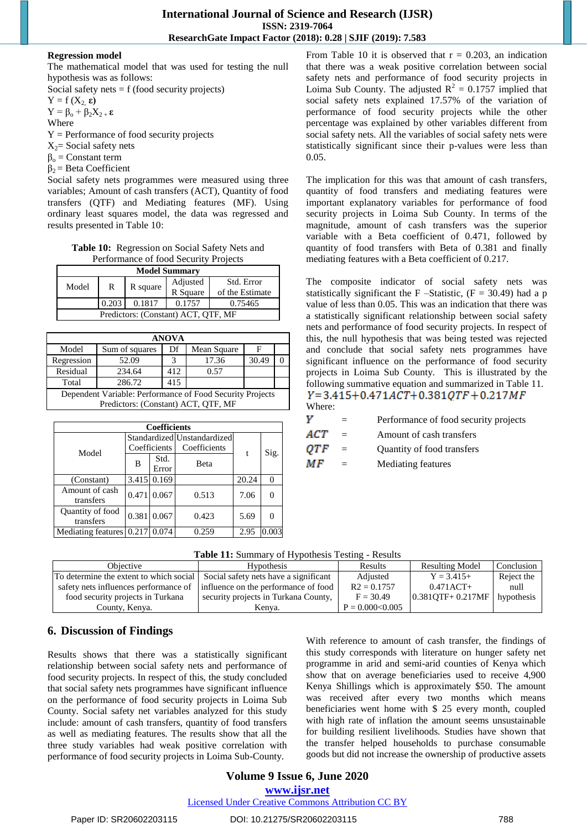#### **Regression model**

The mathematical model that was used for testing the null hypothesis was as follows:

Social safety nets  $= f$  (food security projects)

 $Y = f(X_2, \varepsilon)$ 

 $Y = \beta_0 + \beta_2 X_{2} + \epsilon$ 

Where

 $Y =$  Performance of food security projects

 $X_2$ = Social safety nets

 $β<sub>o</sub> = Constant term$ 

 $\beta_2$  = Beta Coefficient

Social safety nets programmes were measured using three variables; Amount of cash transfers (ACT), Quantity of food transfers (QTF) and Mediating features (MF). Using ordinary least squares model, the data was regressed and results presented in Table 10:

**Table 10:** Regression on Social Safety Nets and Performance of food Security Projects

| <b>Model Summary</b>                |       |          |          |                 |  |
|-------------------------------------|-------|----------|----------|-----------------|--|
| Model                               | R     |          | Adjusted | Std. Error      |  |
|                                     |       | R square | R Square | of the Estimate |  |
|                                     | 0.203 | 0.1817   | 0.1757   | 0.75465         |  |
| Predictors: (Constant) ACT, OTF, MF |       |          |          |                 |  |

| <b>ANOVA</b>                                              |                |     |             |       |  |  |  |
|-----------------------------------------------------------|----------------|-----|-------------|-------|--|--|--|
| Model                                                     | Sum of squares | Df  | Mean Square | F     |  |  |  |
| Regression                                                | 52.09          |     | 17.36       | 30.49 |  |  |  |
| Residual                                                  | 234.64         | 412 | 0.57        |       |  |  |  |
| Total                                                     | 286.72         | 415 |             |       |  |  |  |
| Dependent Variable: Performance of Food Security Projects |                |     |             |       |  |  |  |
| Predictors: (Constant) ACT, OTF, MF                       |                |     |             |       |  |  |  |

| <b>Coefficients</b>       |              |             |                             |       |       |  |
|---------------------------|--------------|-------------|-----------------------------|-------|-------|--|
| Model                     |              |             | Standardized Unstandardized |       | Sig.  |  |
|                           | Coefficients |             | Coefficients                | t     |       |  |
|                           | в            | Std.        | <b>Beta</b>                 |       |       |  |
|                           |              | Error       |                             |       |       |  |
| (Constant)                |              | 3.415 0.169 |                             | 20.24 |       |  |
| Amount of cash            |              | 0.471 0.067 | 0.513                       | 7.06  |       |  |
| transfers                 |              |             |                             |       |       |  |
| Quantity of food          |              | 0.381 0.067 | 0.423                       | 5.69  |       |  |
| transfers                 |              |             |                             |       |       |  |
| <b>Mediating features</b> | 0.217        | 0.074       | 0.259                       | 2.95  | 0.003 |  |

From Table 10 it is observed that  $r = 0.203$ , an indication that there was a weak positive correlation between social safety nets and performance of food security projects in Loima Sub County. The adjusted  $R^2 = 0.1757$  implied that social safety nets explained 17.57% of the variation of performance of food security projects while the other percentage was explained by other variables different from social safety nets. All the variables of social safety nets were statistically significant since their p-values were less than 0.05.

The implication for this was that amount of cash transfers, quantity of food transfers and mediating features were important explanatory variables for performance of food security projects in Loima Sub County. In terms of the magnitude, amount of cash transfers was the superior variable with a Beta coefficient of 0.471, followed by quantity of food transfers with Beta of 0.381 and finally mediating features with a Beta coefficient of 0.217.

The composite indicator of social safety nets was statistically significant the F –Statistic,  $(F = 30.49)$  had a p value of less than 0.05. This was an indication that there was a statistically significant relationship between social safety nets and performance of food security projects. In respect of this, the null hypothesis that was being tested was rejected and conclude that social safety nets programmes have significant influence on the performance of food security projects in Loima Sub County. This is illustrated by the following summative equation and summarized in Table 11.  $Y=3.415+0.471ACT+0.381OTF+0.217MF$ Where:

|  | Performance of food security projects |  |  |  |
|--|---------------------------------------|--|--|--|
|--|---------------------------------------|--|--|--|

**ACT** = Amount of cash transfers

OTF = Quantity of food transfers

МF = Mediating features

|  |  | Table 11: Summary of Hypothesis Testing - Results |  |  |
|--|--|---------------------------------------------------|--|--|
|--|--|---------------------------------------------------|--|--|

| Obiective                                                                       | <b>Hypothesis</b>                    | Results             | <b>Resulting Model</b> | Conclusion |
|---------------------------------------------------------------------------------|--------------------------------------|---------------------|------------------------|------------|
| To determine the extent to which social   Social safety nets have a significant |                                      | Adjusted            | $Y = 3.415+$           | Reject the |
| safety nets influences performance of                                           | influence on the performance of food | $R2 = 0.1757$       | $0.471$ ACT+           | null       |
| food security projects in Turkana                                               | security projects in Turkana County, | $F = 30.49$         | $0.381QTF + 0.217MF$   | hypothesis |
| County, Kenya.                                                                  | Kenva.                               | $P = 0.000 < 0.005$ |                        |            |

# **6. Discussion of Findings**

Results shows that there was a statistically significant relationship between social safety nets and performance of food security projects. In respect of this, the study concluded that social safety nets programmes have significant influence on the performance of food security projects in Loima Sub County. Social safety net variables analyzed for this study include: amount of cash transfers, quantity of food transfers as well as mediating features. The results show that all the three study variables had weak positive correlation with performance of food security projects in Loima Sub-County.

With reference to amount of cash transfer, the findings of this study corresponds with literature on hunger safety net programme in arid and semi-arid counties of Kenya which show that on average beneficiaries used to receive 4,900 Kenya Shillings which is approximately \$50. The amount was received after every two months which means beneficiaries went home with \$ 25 every month, coupled with high rate of inflation the amount seems unsustainable for building resilient livelihoods. Studies have shown that the transfer helped households to purchase consumable goods but did not increase the ownership of productive assets

## **Volume 9 Issue 6, June 2020 www.ijsr.net**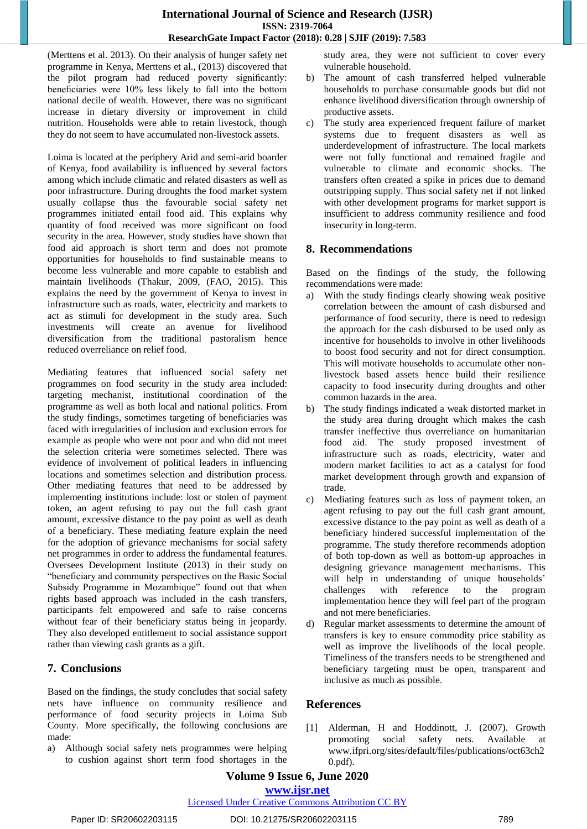(Merttens et al. 2013). On their analysis of hunger safety net programme in Kenya, Merttens et al., (2013) discovered that the pilot program had reduced poverty significantly: beneficiaries were 10% less likely to fall into the bottom national decile of wealth. However, there was no significant increase in dietary diversity or improvement in child nutrition. Households were able to retain livestock, though they do not seem to have accumulated non-livestock assets.

Loima is located at the periphery Arid and semi-arid boarder of Kenya, food availability is influenced by several factors among which include climatic and related disasters as well as poor infrastructure. During droughts the food market system usually collapse thus the favourable social safety net programmes initiated entail food aid. This explains why quantity of food received was more significant on food security in the area. However, study studies have shown that food aid approach is short term and does not promote opportunities for households to find sustainable means to become less vulnerable and more capable to establish and maintain livelihoods (Thakur, 2009, (FAO, 2015). This explains the need by the government of Kenya to invest in infrastructure such as roads, water, electricity and markets to act as stimuli for development in the study area. Such investments will create an avenue for livelihood diversification from the traditional pastoralism hence reduced overreliance on relief food.

Mediating features that influenced social safety net programmes on food security in the study area included: targeting mechanist, institutional coordination of the programme as well as both local and national politics. From the study findings, sometimes targeting of beneficiaries was faced with irregularities of inclusion and exclusion errors for example as people who were not poor and who did not meet the selection criteria were sometimes selected. There was evidence of involvement of political leaders in influencing locations and sometimes selection and distribution process. Other mediating features that need to be addressed by implementing institutions include: lost or stolen of payment token, an agent refusing to pay out the full cash grant amount, excessive distance to the pay point as well as death of a beneficiary. These mediating feature explain the need for the adoption of grievance mechanisms for social safety net programmes in order to address the fundamental features. Oversees Development Institute (2013) in their study on "beneficiary and community perspectives on the Basic Social Subsidy Programme in Mozambique" found out that when rights based approach was included in the cash transfers, participants felt empowered and safe to raise concerns without fear of their beneficiary status being in jeopardy. They also developed entitlement to social assistance support rather than viewing cash grants as a gift.

## **7. Conclusions**

Based on the findings, the study concludes that social safety nets have influence on community resilience and performance of food security projects in Loima Sub County. More specifically, the following conclusions are made:

a) Although social safety nets programmes were helping to cushion against short term food shortages in the study area, they were not sufficient to cover every vulnerable household.

- b) The amount of cash transferred helped vulnerable households to purchase consumable goods but did not enhance livelihood diversification through ownership of productive assets.
- c) The study area experienced frequent failure of market systems due to frequent disasters as well as underdevelopment of infrastructure. The local markets were not fully functional and remained fragile and vulnerable to climate and economic shocks. The transfers often created a spike in prices due to demand outstripping supply. Thus social safety net if not linked with other development programs for market support is insufficient to address community resilience and food insecurity in long-term.

# **8. Recommendations**

Based on the findings of the study, the following recommendations were made:

- With the study findings clearly showing weak positive correlation between the amount of cash disbursed and performance of food security, there is need to redesign the approach for the cash disbursed to be used only as incentive for households to involve in other livelihoods to boost food security and not for direct consumption. This will motivate households to accumulate other nonlivestock based assets hence build their resilience capacity to food insecurity during droughts and other common hazards in the area.
- b) The study findings indicated a weak distorted market in the study area during drought which makes the cash transfer ineffective thus overreliance on humanitarian food aid. The study proposed investment of infrastructure such as roads, electricity, water and modern market facilities to act as a catalyst for food market development through growth and expansion of trade.
- c) Mediating features such as loss of payment token, an agent refusing to pay out the full cash grant amount, excessive distance to the pay point as well as death of a beneficiary hindered successful implementation of the programme. The study therefore recommends adoption of both top-down as well as bottom-up approaches in designing grievance management mechanisms. This will help in understanding of unique households' challenges with reference to the program implementation hence they will feel part of the program and not mere beneficiaries.
- d) Regular market assessments to determine the amount of transfers is key to ensure commodity price stability as well as improve the livelihoods of the local people. Timeliness of the transfers needs to be strengthened and beneficiary targeting must be open, transparent and inclusive as much as possible.

# **References**

[1] Alderman, H and Hoddinott, J. (2007). Growth promoting social safety nets. Available at www.ifpri.org/sites/default/files/publications/oct63ch2 0.pdf).

# **Volume 9 Issue 6, June 2020**

**www.ijsr.net**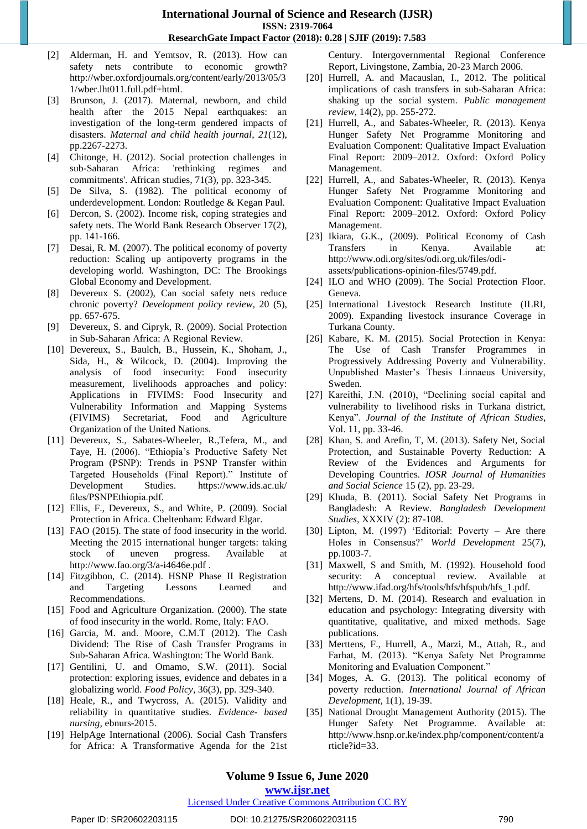- [2] Alderman, H. and Yemtsov, R. (2013). How can safety nets contribute to economic growth? http://wber.oxfordjournals.org/content/early/2013/05/3 1/wber.lht011.full.pdf+html.
- [3] Brunson, J. (2017). Maternal, newborn, and child health after the 2015 Nepal earthquakes: an investigation of the long-term gendered impacts of disasters. *Maternal and child health journal*, *21*(12), pp.2267-2273.
- [4] Chitonge, H. (2012). Social protection challenges in sub-Saharan Africa: 'rethinking regimes and commitments'. African studies, 71(3), pp. 323-345.
- [5] De Silva, S. (1982). The political economy of underdevelopment. London: Routledge & Kegan Paul.
- [6] Dercon, S. (2002). Income risk, coping strategies and safety nets. The World Bank Research Observer 17(2), pp. 141-166.
- [7] Desai, R. M. (2007). The political economy of poverty reduction: Scaling up antipoverty programs in the developing world. Washington, DC: The Brookings Global Economy and Development.
- [8] Devereux S. (2002), Can social safety nets reduce chronic poverty? *Development policy review,* 20 (5), pp. 657-675.
- [9] Devereux, S. and Cipryk, R. (2009). Social Protection in Sub-Saharan Africa: A Regional Review.
- [10] Devereux, S., Baulch, B., Hussein, K., Shoham, J., Sida, H., & Wilcock, D. (2004). Improving the analysis of food insecurity: Food insecurity measurement, livelihoods approaches and policy: Applications in FIVIMS: Food Insecurity and Vulnerability Information and Mapping Systems (FIVIMS) Secretariat, Food and Agriculture Organization of the United Nations.
- [11] Devereux, S., Sabates-Wheeler, R.,Tefera, M., and Taye, H. (2006). "Ethiopia"s Productive Safety Net Program (PSNP): Trends in PSNP Transfer within Targeted Households (Final Report)." Institute of Development Studies. https://www.ids.ac.uk/ files/PSNPEthiopia.pdf.
- [12] Ellis, F., Devereux, S., and White, P. (2009). Social Protection in Africa. Cheltenham: Edward Elgar.
- [13] FAO (2015). The state of food insecurity in the world. Meeting the 2015 international hunger targets: taking stock of uneven progress. Available at <http://www.fao.org/3/a-i4646e.pdf> .
- [14] Fitzgibbon, C. (2014). HSNP Phase II Registration and Targeting Lessons Learned and Recommendations.
- [15] Food and Agriculture Organization. (2000). The state of food insecurity in the world. Rome, Italy: FAO.
- [16] Garcia, M. and. Moore, C.M.T (2012). The Cash Dividend: The Rise of Cash Transfer Programs in Sub-Saharan Africa. Washington: The World Bank.
- [17] Gentilini, U. and Omamo, S.W. (2011). Social protection: exploring issues, evidence and debates in a globalizing world. *Food Policy*, 36(3), pp. 329-340.
- [18] Heale, R., and Twycross, A. (2015). Validity and reliability in quantitative studies. *Evidence- based nursing*, ebnurs-2015.
- [19] HelpAge International (2006). Social Cash Transfers for Africa: A Transformative Agenda for the 21st

Century. Intergovernmental Regional Conference Report, Livingstone, Zambia, 20-23 March 2006.

- [20] Hurrell, A. and Macauslan, I., 2012. The political implications of cash transfers in sub-Saharan Africa: shaking up the social system. *Public management review*, 14(2), pp. 255-272.
- [21] Hurrell, A., and Sabates-Wheeler, R. (2013). Kenya Hunger Safety Net Programme Monitoring and Evaluation Component: Qualitative Impact Evaluation Final Report: 2009–2012. Oxford: Oxford Policy Management.
- [22] Hurrell, A., and Sabates-Wheeler, R. (2013). Kenya Hunger Safety Net Programme Monitoring and Evaluation Component: Qualitative Impact Evaluation Final Report: 2009–2012. Oxford: Oxford Policy Management.
- [23] Ikiara, G.K., (2009). Political Economy of Cash Transfers in Kenya. Available at: http://www.odi.org/sites/odi.org.uk/files/odiassets/publications-opinion-files/5749.pdf.
- [24] ILO and WHO (2009). The Social Protection Floor. Geneva.
- [25] International Livestock Research Institute (ILRI, 2009). Expanding livestock insurance Coverage in Turkana County.
- [26] Kabare, K. M. (2015). Social Protection in Kenya: The Use of Cash Transfer Programmes in Progressively Addressing Poverty and Vulnerability. Unpublished Master"s Thesis Linnaeus University, Sweden.
- [27] Kareithi, J.N. (2010), "Declining social capital and vulnerability to livelihood risks in Turkana district, Kenya". *Journal of the Institute of African Studies*, Vol. 11, pp. 33-46.
- [28] Khan, S. and Arefin, T, M. (2013). Safety Net, Social Protection, and Sustainable Poverty Reduction: A Review of the Evidences and Arguments for Developing Countries. *IOSR Journal of Humanities and Social Science* 15 (2), pp. 23-29.
- [29] Khuda, B. (2011). Social Safety Net Programs in Bangladesh: A Review. *Bangladesh Development Studies*, XXXIV (2): 87-108.
- [30] Lipton, M. (1997) 'Editorial: Poverty Are there Holes in Consensus?" *World Development* 25(7), pp.1003-7.
- [31] Maxwell, S and Smith, M. (1992). Household food security: A conceptual review. Available at http://www.ifad.org/hfs/tools/hfs/hfspub/hfs\_1.pdf.
- [32] Mertens, D. M. (2014). Research and evaluation in education and psychology: Integrating diversity with quantitative, qualitative, and mixed methods. Sage publications.
- [33] Merttens, F., Hurrell, A., Marzi, M., Attah, R., and Farhat, M. (2013). "Kenya Safety Net Programme Monitoring and Evaluation Component."
- [34] Moges, A. G. (2013). The political economy of poverty reduction. *International Journal of African Development*, 1(1), 19-39.
- [35] National Drought Management Authority (2015). The Hunger Safety Net Programme. Available at: http://www.hsnp.or.ke/index.php/component/content/a rticle?id=33.

## **Volume 9 Issue 6, June 2020**

## **www.ijsr.net**